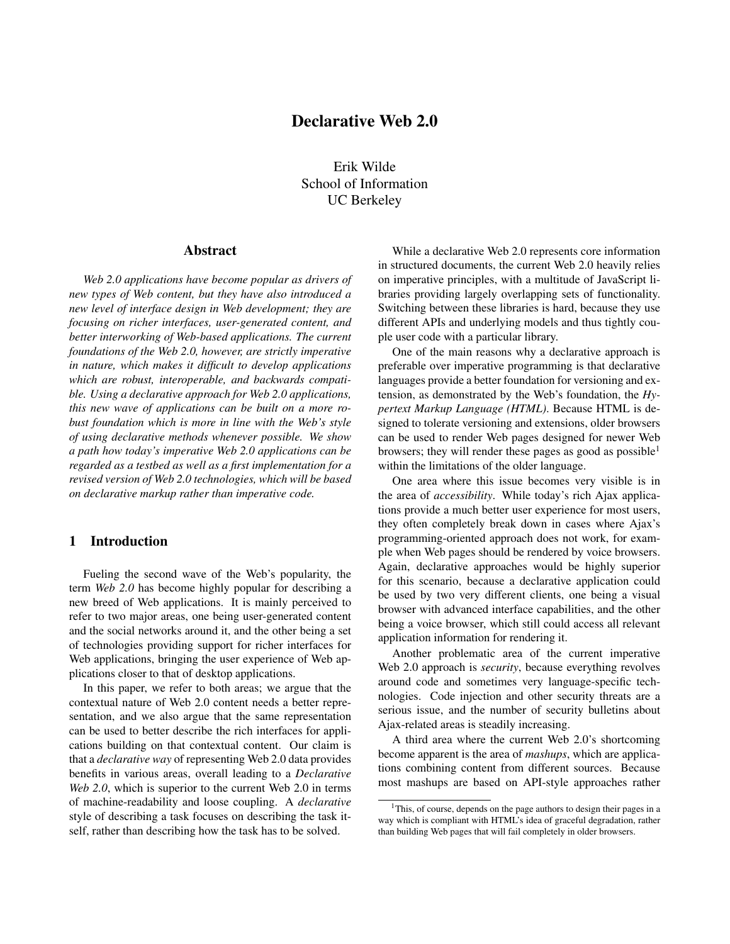# Declarative Web 2.0

Erik Wilde School of Information UC Berkeley

#### Abstract

*Web 2.0 applications have become popular as drivers of new types of Web content, but they have also introduced a new level of interface design in Web development; they are focusing on richer interfaces, user-generated content, and better interworking of Web-based applications. The current foundations of the Web 2.0, however, are strictly imperative in nature, which makes it difficult to develop applications which are robust, interoperable, and backwards compatible. Using a declarative approach for Web 2.0 applications, this new wave of applications can be built on a more robust foundation which is more in line with the Web's style of using declarative methods whenever possible. We show a path how today's imperative Web 2.0 applications can be regarded as a testbed as well as a first implementation for a revised version of Web 2.0 technologies, which will be based on declarative markup rather than imperative code.*

# 1 Introduction

Fueling the second wave of the Web's popularity, the term *Web 2.0* has become highly popular for describing a new breed of Web applications. It is mainly perceived to refer to two major areas, one being user-generated content and the social networks around it, and the other being a set of technologies providing support for richer interfaces for Web applications, bringing the user experience of Web applications closer to that of desktop applications.

In this paper, we refer to both areas; we argue that the contextual nature of Web 2.0 content needs a better representation, and we also argue that the same representation can be used to better describe the rich interfaces for applications building on that contextual content. Our claim is that a *declarative way* of representing Web 2.0 data provides benefits in various areas, overall leading to a *Declarative Web 2.0*, which is superior to the current Web 2.0 in terms of machine-readability and loose coupling. A *declarative* style of describing a task focuses on describing the task itself, rather than describing how the task has to be solved.

While a declarative Web 2.0 represents core information in structured documents, the current Web 2.0 heavily relies on imperative principles, with a multitude of JavaScript libraries providing largely overlapping sets of functionality. Switching between these libraries is hard, because they use different APIs and underlying models and thus tightly couple user code with a particular library.

One of the main reasons why a declarative approach is preferable over imperative programming is that declarative languages provide a better foundation for versioning and extension, as demonstrated by the Web's foundation, the *Hypertext Markup Language (HTML)*. Because HTML is designed to tolerate versioning and extensions, older browsers can be used to render Web pages designed for newer Web browsers; they will render these pages as good as possible<sup>1</sup> within the limitations of the older language.

One area where this issue becomes very visible is in the area of *accessibility*. While today's rich Ajax applications provide a much better user experience for most users, they often completely break down in cases where Ajax's programming-oriented approach does not work, for example when Web pages should be rendered by voice browsers. Again, declarative approaches would be highly superior for this scenario, because a declarative application could be used by two very different clients, one being a visual browser with advanced interface capabilities, and the other being a voice browser, which still could access all relevant application information for rendering it.

Another problematic area of the current imperative Web 2.0 approach is *security*, because everything revolves around code and sometimes very language-specific technologies. Code injection and other security threats are a serious issue, and the number of security bulletins about Ajax-related areas is steadily increasing.

A third area where the current Web 2.0's shortcoming become apparent is the area of *mashups*, which are applications combining content from different sources. Because most mashups are based on API-style approaches rather

<sup>&</sup>lt;sup>1</sup>This, of course, depends on the page authors to design their pages in a way which is compliant with HTML's idea of graceful degradation, rather than building Web pages that will fail completely in older browsers.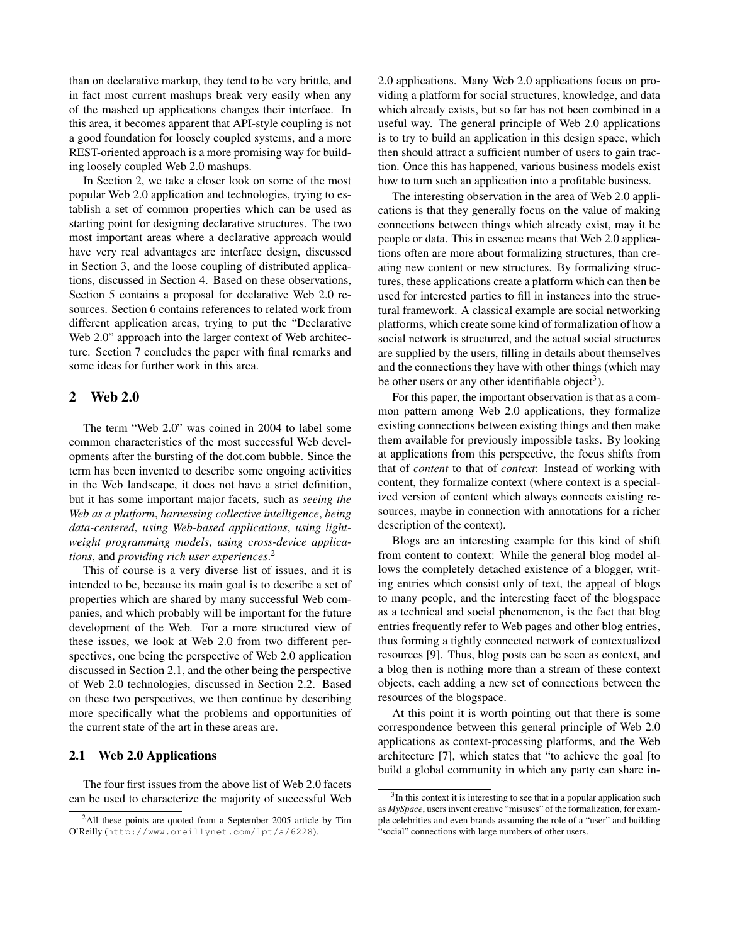than on declarative markup, they tend to be very brittle, and in fact most current mashups break very easily when any of the mashed up applications changes their interface. In this area, it becomes apparent that API-style coupling is not a good foundation for loosely coupled systems, and a more REST-oriented approach is a more promising way for building loosely coupled Web 2.0 mashups.

In Section 2, we take a closer look on some of the most popular Web 2.0 application and technologies, trying to establish a set of common properties which can be used as starting point for designing declarative structures. The two most important areas where a declarative approach would have very real advantages are interface design, discussed in Section [3,](#page-2-0) and the loose coupling of distributed applications, discussed in Section [4.](#page-3-0) Based on these observations, Section [5](#page-3-0) contains a proposal for declarative Web 2.0 resources. Section [6](#page-4-0) contains references to related work from different application areas, trying to put the "Declarative Web 2.0" approach into the larger context of Web architecture. Section [7](#page-5-0) concludes the paper with final remarks and some ideas for further work in this area.

#### 2 Web 2.0

The term "Web 2.0" was coined in 2004 to label some common characteristics of the most successful Web developments after the bursting of the dot.com bubble. Since the term has been invented to describe some ongoing activities in the Web landscape, it does not have a strict definition, but it has some important major facets, such as *seeing the Web as a platform*, *harnessing collective intelligence*, *being data-centered*, *using Web-based applications*, *using lightweight programming models*, *using cross-device applications*, and *providing rich user experiences*. 2

This of course is a very diverse list of issues, and it is intended to be, because its main goal is to describe a set of properties which are shared by many successful Web companies, and which probably will be important for the future development of the Web. For a more structured view of these issues, we look at Web 2.0 from two different perspectives, one being the perspective of Web 2.0 application discussed in Section 2.1, and the other being the perspective of Web 2.0 technologies, discussed in Section [2.2.](#page-2-0) Based on these two perspectives, we then continue by describing more specifically what the problems and opportunities of the current state of the art in these areas are.

#### 2.1 Web 2.0 Applications

The four first issues from the above list of Web 2.0 facets can be used to characterize the majority of successful Web 2.0 applications. Many Web 2.0 applications focus on providing a platform for social structures, knowledge, and data which already exists, but so far has not been combined in a useful way. The general principle of Web 2.0 applications is to try to build an application in this design space, which then should attract a sufficient number of users to gain traction. Once this has happened, various business models exist how to turn such an application into a profitable business.

The interesting observation in the area of Web 2.0 applications is that they generally focus on the value of making connections between things which already exist, may it be people or data. This in essence means that Web 2.0 applications often are more about formalizing structures, than creating new content or new structures. By formalizing structures, these applications create a platform which can then be used for interested parties to fill in instances into the structural framework. A classical example are social networking platforms, which create some kind of formalization of how a social network is structured, and the actual social structures are supplied by the users, filling in details about themselves and the connections they have with other things (which may be other users or any other identifiable object<sup>3</sup>).

For this paper, the important observation is that as a common pattern among Web 2.0 applications, they formalize existing connections between existing things and then make them available for previously impossible tasks. By looking at applications from this perspective, the focus shifts from that of *content* to that of *context*: Instead of working with content, they formalize context (where context is a specialized version of content which always connects existing resources, maybe in connection with annotations for a richer description of the context).

Blogs are an interesting example for this kind of shift from content to context: While the general blog model allows the completely detached existence of a blogger, writing entries which consist only of text, the appeal of blogs to many people, and the interesting facet of the blogspace as a technical and social phenomenon, is the fact that blog entries frequently refer to Web pages and other blog entries, thus forming a tightly connected network of contextualized resources [\[9\]](#page-5-0). Thus, blog posts can be seen as context, and a blog then is nothing more than a stream of these context objects, each adding a new set of connections between the resources of the blogspace.

At this point it is worth pointing out that there is some correspondence between this general principle of Web 2.0 applications as context-processing platforms, and the Web architecture [\[7\]](#page-5-0), which states that "to achieve the goal [to build a global community in which any party can share in-

<sup>2</sup>All these points are quoted from a September 2005 article by Tim O'Reilly (<http://www.oreillynet.com/lpt/a/6228>).

<sup>&</sup>lt;sup>3</sup>In this context it is interesting to see that in a popular application such as *MySpace*, users invent creative "misuses" of the formalization, for example celebrities and even brands assuming the role of a "user" and building "social" connections with large numbers of other users.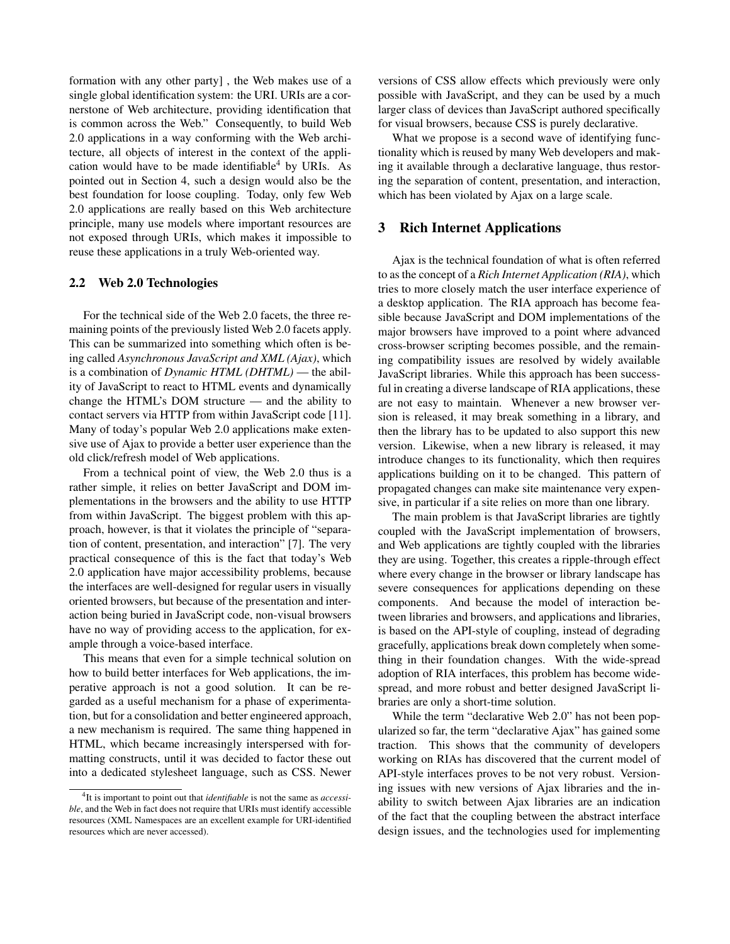<span id="page-2-0"></span>formation with any other party] , the Web makes use of a single global identification system: the URI. URIs are a cornerstone of Web architecture, providing identification that is common across the Web." Consequently, to build Web 2.0 applications in a way conforming with the Web architecture, all objects of interest in the context of the application would have to be made identifiable<sup>4</sup> by URIs. As pointed out in Section [4,](#page-3-0) such a design would also be the best foundation for loose coupling. Today, only few Web 2.0 applications are really based on this Web architecture principle, many use models where important resources are not exposed through URIs, which makes it impossible to reuse these applications in a truly Web-oriented way.

#### 2.2 Web 2.0 Technologies

For the technical side of the Web 2.0 facets, the three remaining points of the previously listed Web 2.0 facets apply. This can be summarized into something which often is being called *Asynchronous JavaScript and XML (Ajax)*, which is a combination of *Dynamic HTML (DHTML)* — the ability of JavaScript to react to HTML events and dynamically change the HTML's DOM structure — and the ability to contact servers via HTTP from within JavaScript code [\[11\]](#page-5-0). Many of today's popular Web 2.0 applications make extensive use of Ajax to provide a better user experience than the old click/refresh model of Web applications.

From a technical point of view, the Web 2.0 thus is a rather simple, it relies on better JavaScript and DOM implementations in the browsers and the ability to use HTTP from within JavaScript. The biggest problem with this approach, however, is that it violates the principle of "separation of content, presentation, and interaction" [\[7\]](#page-5-0). The very practical consequence of this is the fact that today's Web 2.0 application have major accessibility problems, because the interfaces are well-designed for regular users in visually oriented browsers, but because of the presentation and interaction being buried in JavaScript code, non-visual browsers have no way of providing access to the application, for example through a voice-based interface.

This means that even for a simple technical solution on how to build better interfaces for Web applications, the imperative approach is not a good solution. It can be regarded as a useful mechanism for a phase of experimentation, but for a consolidation and better engineered approach, a new mechanism is required. The same thing happened in HTML, which became increasingly interspersed with formatting constructs, until it was decided to factor these out into a dedicated stylesheet language, such as CSS. Newer

versions of CSS allow effects which previously were only possible with JavaScript, and they can be used by a much larger class of devices than JavaScript authored specifically for visual browsers, because CSS is purely declarative.

What we propose is a second wave of identifying functionality which is reused by many Web developers and making it available through a declarative language, thus restoring the separation of content, presentation, and interaction, which has been violated by Ajax on a large scale.

## 3 Rich Internet Applications

Ajax is the technical foundation of what is often referred to as the concept of a *Rich Internet Application (RIA)*, which tries to more closely match the user interface experience of a desktop application. The RIA approach has become feasible because JavaScript and DOM implementations of the major browsers have improved to a point where advanced cross-browser scripting becomes possible, and the remaining compatibility issues are resolved by widely available JavaScript libraries. While this approach has been successful in creating a diverse landscape of RIA applications, these are not easy to maintain. Whenever a new browser version is released, it may break something in a library, and then the library has to be updated to also support this new version. Likewise, when a new library is released, it may introduce changes to its functionality, which then requires applications building on it to be changed. This pattern of propagated changes can make site maintenance very expensive, in particular if a site relies on more than one library.

The main problem is that JavaScript libraries are tightly coupled with the JavaScript implementation of browsers, and Web applications are tightly coupled with the libraries they are using. Together, this creates a ripple-through effect where every change in the browser or library landscape has severe consequences for applications depending on these components. And because the model of interaction between libraries and browsers, and applications and libraries, is based on the API-style of coupling, instead of degrading gracefully, applications break down completely when something in their foundation changes. With the wide-spread adoption of RIA interfaces, this problem has become widespread, and more robust and better designed JavaScript libraries are only a short-time solution.

While the term "declarative Web 2.0" has not been popularized so far, the term "declarative Ajax" has gained some traction. This shows that the community of developers working on RIAs has discovered that the current model of API-style interfaces proves to be not very robust. Versioning issues with new versions of Ajax libraries and the inability to switch between Ajax libraries are an indication of the fact that the coupling between the abstract interface design issues, and the technologies used for implementing

<sup>4</sup> It is important to point out that *identifiable* is not the same as *accessible*, and the Web in fact does not require that URIs must identify accessible resources (XML Namespaces are an excellent example for URI-identified resources which are never accessed).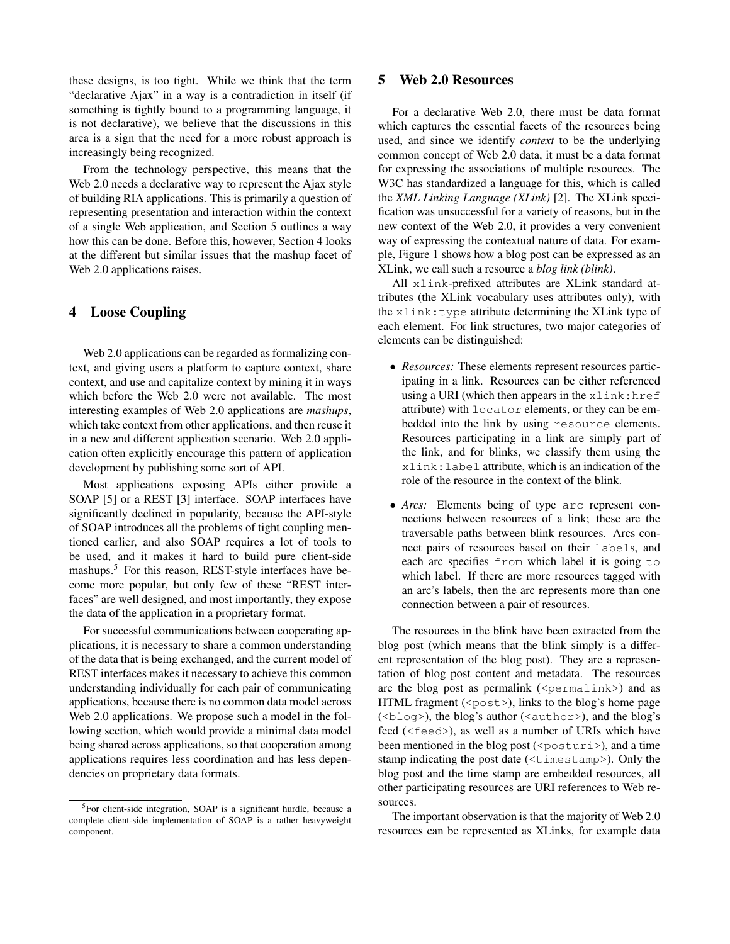<span id="page-3-0"></span>these designs, is too tight. While we think that the term "declarative Ajax" in a way is a contradiction in itself (if something is tightly bound to a programming language, it is not declarative), we believe that the discussions in this area is a sign that the need for a more robust approach is increasingly being recognized.

From the technology perspective, this means that the Web 2.0 needs a declarative way to represent the Ajax style of building RIA applications. This is primarily a question of representing presentation and interaction within the context of a single Web application, and Section 5 outlines a way how this can be done. Before this, however, Section 4 looks at the different but similar issues that the mashup facet of Web 2.0 applications raises.

## 4 Loose Coupling

Web 2.0 applications can be regarded as formalizing context, and giving users a platform to capture context, share context, and use and capitalize context by mining it in ways which before the Web 2.0 were not available. The most interesting examples of Web 2.0 applications are *mashups*, which take context from other applications, and then reuse it in a new and different application scenario. Web 2.0 application often explicitly encourage this pattern of application development by publishing some sort of API.

Most applications exposing APIs either provide a SOAP [\[5\]](#page-5-0) or a REST [\[3\]](#page-5-0) interface. SOAP interfaces have significantly declined in popularity, because the API-style of SOAP introduces all the problems of tight coupling mentioned earlier, and also SOAP requires a lot of tools to be used, and it makes it hard to build pure client-side mashups.<sup>5</sup> For this reason, REST-style interfaces have become more popular, but only few of these "REST interfaces" are well designed, and most importantly, they expose the data of the application in a proprietary format.

For successful communications between cooperating applications, it is necessary to share a common understanding of the data that is being exchanged, and the current model of REST interfaces makes it necessary to achieve this common understanding individually for each pair of communicating applications, because there is no common data model across Web 2.0 applications. We propose such a model in the following section, which would provide a minimal data model being shared across applications, so that cooperation among applications requires less coordination and has less dependencies on proprietary data formats.

# 5 Web 2.0 Resources

For a declarative Web 2.0, there must be data format which captures the essential facets of the resources being used, and since we identify *context* to be the underlying common concept of Web 2.0 data, it must be a data format for expressing the associations of multiple resources. The W3C has standardized a language for this, which is called the *XML Linking Language (XLink)* [\[2\]](#page-5-0). The XLink specification was unsuccessful for a variety of reasons, but in the new context of the Web 2.0, it provides a very convenient way of expressing the contextual nature of data. For example, Figure [1](#page-4-0) shows how a blog post can be expressed as an XLink, we call such a resource a *blog link (blink)*.

All xlink-prefixed attributes are XLink standard attributes (the XLink vocabulary uses attributes only), with the xlink:type attribute determining the XLink type of each element. For link structures, two major categories of elements can be distinguished:

- *Resources:* These elements represent resources participating in a link. Resources can be either referenced using a URI (which then appears in the xlink: href attribute) with locator elements, or they can be embedded into the link by using resource elements. Resources participating in a link are simply part of the link, and for blinks, we classify them using the xlink:label attribute, which is an indication of the role of the resource in the context of the blink.
- *Arcs:* Elements being of type arc represent connections between resources of a link; these are the traversable paths between blink resources. Arcs connect pairs of resources based on their labels, and each arc specifies from which label it is going to which label. If there are more resources tagged with an arc's labels, then the arc represents more than one connection between a pair of resources.

The resources in the blink have been extracted from the blog post (which means that the blink simply is a different representation of the blog post). They are a representation of blog post content and metadata. The resources are the blog post as permalink ( $\leq$ permalink $\geq$ ) and as HTML fragment ( $\langle \text{post} \rangle$ ), links to the blog's home page  $(\langle \text{hlog}\rangle)$ , the blog's author ( $\langle \text{author}\rangle$ ), and the blog's feed (<feed>), as well as a number of URIs which have been mentioned in the blog post  $(\langle$  posturi>), and a time stamp indicating the post date  $(\langle t \text{timestamp>}).$  Only the blog post and the time stamp are embedded resources, all other participating resources are URI references to Web resources.

The important observation is that the majority of Web 2.0 resources can be represented as XLinks, for example data

 ${}^{5}$ For client-side integration, SOAP is a significant hurdle, because a complete client-side implementation of SOAP is a rather heavyweight component.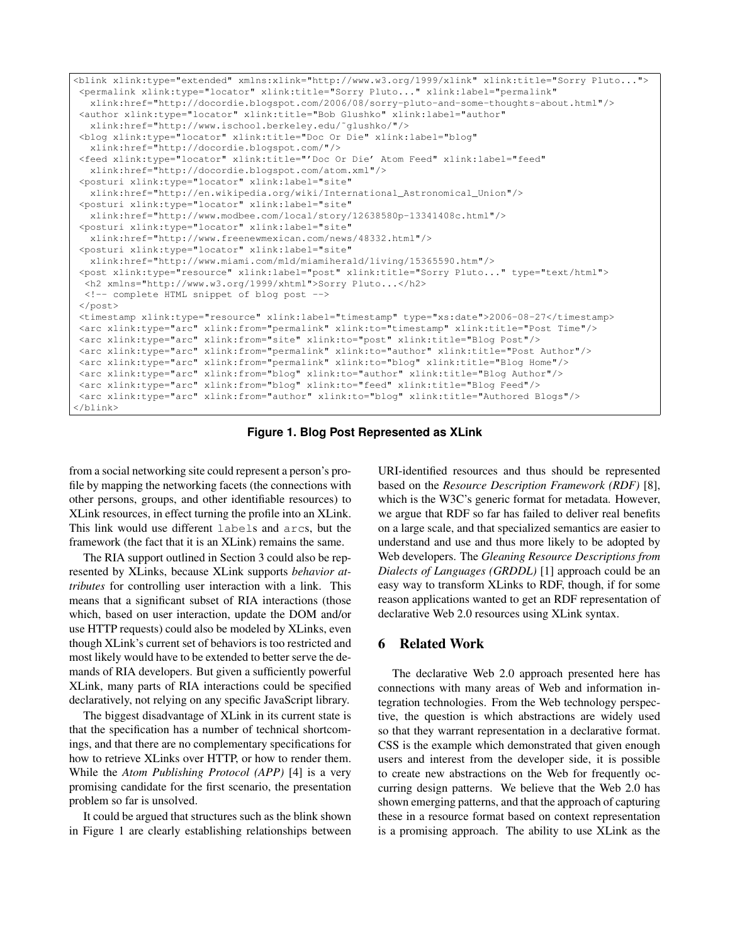```
<blink xlink:type="extended" xmlns:xlink="http://www.w3.org/1999/xlink" xlink:title="Sorry Pluto...">
<permalink xlink:type="locator" xlink:title="Sorry Pluto..." xlink:label="permalink"
  xlink:href="http://docordie.blogspot.com/2006/08/sorry-pluto-and-some-thoughts-about.html"/>
<author xlink:type="locator" xlink:title="Bob Glushko" xlink:label="author"
  xlink:href="http://www.ischool.berkeley.edu/˜glushko/"/>
<blog xlink:type="locator" xlink:title="Doc Or Die" xlink:label="blog"
  xlink:href="http://docordie.blogspot.com/"/>
<feed xlink:type="locator" xlink:title="'Doc Or Die' Atom Feed" xlink:label="feed"
  xlink:href="http://docordie.blogspot.com/atom.xml"/>
<posturi xlink:type="locator" xlink:label="site"
  xlink:href="http://en.wikipedia.org/wiki/International_Astronomical_Union"/>
<posturi xlink:type="locator" xlink:label="site"
  xlink:href="http://www.modbee.com/local/story/12638580p-13341408c.html"/>
<posturi xlink:type="locator" xlink:label="site"
  xlink:href="http://www.freenewmexican.com/news/48332.html"/>
<posturi xlink:type="locator" xlink:label="site"
  xlink:href="http://www.miami.com/mld/miamiherald/living/15365590.htm"/>
<post xlink:type="resource" xlink:label="post" xlink:title="Sorry Pluto..." type="text/html">
 <h2 xmlns="http://www.w3.org/1999/xhtml">Sorry Pluto...</h2>
 <!-- complete HTML snippet of blog post -->
\langle/post>
<timestamp xlink:type="resource" xlink:label="timestamp" type="xs:date">2006-08-27</timestamp>
<arc xlink:type="arc" xlink:from="permalink" xlink:to="timestamp" xlink:title="Post Time"/>
<arc xlink:type="arc" xlink:from="site" xlink:to="post" xlink:title="Blog Post"/>
<arc xlink:type="arc" xlink:from="permalink" xlink:to="author" xlink:title="Post Author"/>
<arc xlink:type="arc" xlink:from="permalink" xlink:to="blog" xlink:title="Blog Home"/>
<arc xlink:type="arc" xlink:from="blog" xlink:to="author" xlink:title="Blog Author"/>
<arc xlink:type="arc" xlink:from="blog" xlink:to="feed" xlink:title="Blog Feed"/>
<arc xlink:type="arc" xlink:from="author" xlink:to="blog" xlink:title="Authored Blogs"/>
</blink>
```
**Figure 1. Blog Post Represented as XLink**

from a social networking site could represent a person's profile by mapping the networking facets (the connections with other persons, groups, and other identifiable resources) to XLink resources, in effect turning the profile into an XLink. This link would use different labels and arcs, but the framework (the fact that it is an XLink) remains the same.

The RIA support outlined in Section [3](#page-2-0) could also be represented by XLinks, because XLink supports *behavior attributes* for controlling user interaction with a link. This means that a significant subset of RIA interactions (those which, based on user interaction, update the DOM and/or use HTTP requests) could also be modeled by XLinks, even though XLink's current set of behaviors is too restricted and most likely would have to be extended to better serve the demands of RIA developers. But given a sufficiently powerful XLink, many parts of RIA interactions could be specified declaratively, not relying on any specific JavaScript library.

The biggest disadvantage of XLink in its current state is that the specification has a number of technical shortcomings, and that there are no complementary specifications for how to retrieve XLinks over HTTP, or how to render them. While the *Atom Publishing Protocol (APP)* [\[4\]](#page-5-0) is a very promising candidate for the first scenario, the presentation problem so far is unsolved.

It could be argued that structures such as the blink shown in Figure 1 are clearly establishing relationships between

URI-identified resources and thus should be represented based on the *Resource Description Framework (RDF)* [\[8\]](#page-5-0), which is the W3C's generic format for metadata. However, we argue that RDF so far has failed to deliver real benefits on a large scale, and that specialized semantics are easier to understand and use and thus more likely to be adopted by Web developers. The *Gleaning Resource Descriptions from Dialects of Languages (GRDDL)* [\[1\]](#page-5-0) approach could be an easy way to transform XLinks to RDF, though, if for some reason applications wanted to get an RDF representation of declarative Web 2.0 resources using XLink syntax.

# 6 Related Work

The declarative Web 2.0 approach presented here has connections with many areas of Web and information integration technologies. From the Web technology perspective, the question is which abstractions are widely used so that they warrant representation in a declarative format. CSS is the example which demonstrated that given enough users and interest from the developer side, it is possible to create new abstractions on the Web for frequently occurring design patterns. We believe that the Web 2.0 has shown emerging patterns, and that the approach of capturing these in a resource format based on context representation is a promising approach. The ability to use XLink as the